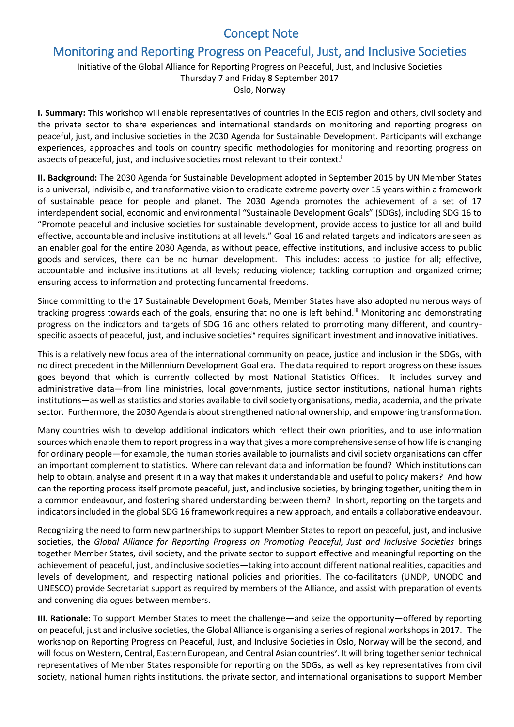## Concept Note

## Monitoring and Reporting Progress on Peaceful, Just, and Inclusive Societies

## Initiative of the Global Alliance for Reporting Progress on Peaceful, Just, and Inclusive Societies Thursday 7 and Friday 8 September 2017 Oslo, Norway

**I. Summary:** This workshop will enable representatives of countries in the ECIS region and others, civil society and the private sector to share experiences and international standards on monitoring and reporting progress on peaceful, just, and inclusive societies in the 2030 Agenda for Sustainable Development. Participants will exchange experiences, approaches and tools on country specific methodologies for monitoring and reporting progress on aspects of peaceful, just, and inclusive societies most relevant to their context.<sup>ii</sup>

**II. Background:** The 2030 Agenda for Sustainable Development adopted in September 2015 by UN Member States is a universal, indivisible, and transformative vision to eradicate extreme poverty over 15 years within a framework of sustainable peace for people and planet. The 2030 Agenda promotes the achievement of a set of 17 interdependent social, economic and environmental "Sustainable Development Goals" (SDGs), including SDG 16 to "Promote peaceful and inclusive societies for sustainable development, provide access to justice for all and build effective, accountable and inclusive institutions at all levels." Goal 16 and related targets and indicators are seen as an enabler goal for the entire 2030 Agenda, as without peace, effective institutions, and inclusive access to public goods and services, there can be no human development. This includes: access to justice for all; effective, accountable and inclusive institutions at all levels; reducing violence; tackling corruption and organized crime; ensuring access to information and protecting fundamental freedoms.

Since committing to the 17 Sustainable Development Goals, Member States have also adopted numerous ways of tracking progress towards each of the goals, ensuring that no one is left behind.<sup>iii</sup> Monitoring and demonstrating progress on the indicators and targets of SDG 16 and others related to promoting many different, and countryspecific aspects of peaceful, just, and inclusive societies<sup>iv</sup> requires significant investment and innovative initiatives.

This is a relatively new focus area of the international community on peace, justice and inclusion in the SDGs, with no direct precedent in the Millennium Development Goal era. The data required to report progress on these issues goes beyond that which is currently collected by most National Statistics Offices. It includes survey and administrative data—from line ministries, local governments, justice sector institutions, national human rights institutions—as well as statistics and stories available to civil society organisations, media, academia, and the private sector. Furthermore, the 2030 Agenda is about strengthened national ownership, and empowering transformation.

Many countries wish to develop additional indicators which reflect their own priorities, and to use information sources which enable them to report progress in a way that gives a more comprehensive sense of how life is changing for ordinary people—for example, the human stories available to journalists and civil society organisations can offer an important complement to statistics. Where can relevant data and information be found? Which institutions can help to obtain, analyse and present it in a way that makes it understandable and useful to policy makers? And how can the reporting process itself promote peaceful, just, and inclusive societies, by bringing together, uniting them in a common endeavour, and fostering shared understanding between them? In short, reporting on the targets and indicators included in the global SDG 16 framework requires a new approach, and entails a collaborative endeavour.

Recognizing the need to form new partnerships to support Member States to report on peaceful, just, and inclusive societies, the Global Alliance for Reporting Progress on Promoting Peaceful, Just and Inclusive Societies brings together Member States, civil society, and the private sector to support effective and meaningful reporting on the achievement of peaceful, just, and inclusive societies—taking into account different national realities, capacities and levels of development, and respecting national policies and priorities. The co-facilitators (UNDP, UNODC and UNESCO) provide Secretariat support as required by members of the Alliance, and assist with preparation of events and convening dialogues between members.

**III. Rationale:** To support Member States to meet the challenge—and seize the opportunity—offered by reporting on peaceful, just and inclusive societies, the Global Alliance is organising a series of regional workshops in 2017. The workshop on Reporting Progress on Peaceful, Just, and Inclusive Societies in Oslo, Norway will be the second, and will focus on Western, Central, Eastern European, and Central Asian countries<sup>v</sup>. It will bring together senior technical representatives of Member States responsible for reporting on the SDGs, as well as key representatives from civil society, national human rights institutions, the private sector, and international organisations to support Member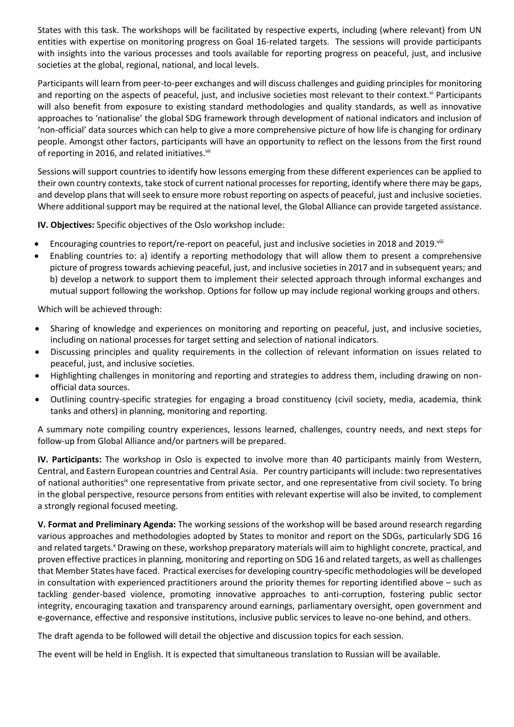States with this task. The workshops will be facilitated by respective experts, including (where relevant) from UN entities with expertise on monitoring progress on Goal 16-related targets. The sessions will provide participants with insights into the various processes and tools available for reporting progress on peaceful, just, and inclusive societies at the global, regional, national, and local levels.

Participants will learn from peer-to-peer exchanges and will discuss challenges and guiding principles for monitoring and reporting on the aspects of peaceful, just, and inclusive societies most relevant to their context. Vi Participants will also benefit from exposure to existing standard methodologies and quality standards, as well as innovative approaches to 'nationalise' the global SDG framework through development of national indicators and inclusion of 'non-official' data sources which can help to give a more comprehensive picture of how life is changing for ordinary people. Amongst other factors, participants will have an opportunity to reflect on the lessons from the first round of reporting in 2016, and related initiatives. Vii

Sessions will support countries to identify how lessons emerging from these different experiences can be applied to their own country contexts, take stock of current national processes for reporting, identify where there may be gaps, and develop plans that will seek to ensure more robust reporting on aspects of peaceful, just and inclusive societies. Where additional support may be required at the national level, the Global Alliance can provide targeted assistance.

**IV. Objectives:** Specific objectives of the Oslo workshop include:

- Encouraging countries to report/re-report on peaceful, just and inclusive societies in 2018 and 2019. Vili
- Enabling countries to: a) identify a reporting methodology that will allow them to present a comprehensive picture of progress towards achieving peaceful, just, and inclusive societies in 2017 and in subsequent years; and b) develop a network to support them to implement their selected approach through informal exchanges and mutual support following the workshop. Options for follow up may include regional working groups and others.

Which will be achieved through:

- Sharing of knowledge and experiences on monitoring and reporting on peaceful, just, and inclusive societies, including on national processes for target setting and selection of national indicators.
- Discussing principles and quality requirements in the collection of relevant information on issues related to peaceful, just, and inclusive societies.
- Highlighting challenges in monitoring and reporting and strategies to address them, including drawing on nonofficial data sources.
- Outlining country-specific strategies for engaging a broad constituency (civil society, media, academia, think tanks and others) in planning, monitoring and reporting.

A summary note compiling country experiences, lessons learned, challenges, country needs, and next steps for follow-up from Global Alliance and/or partners will be prepared.

**IV. Participants:** The workshop in Oslo is expected to involve more than 40 participants mainly from Western, Central, and Eastern European countries and Central Asia. Per country participants will include: two representatives of national authorities<sup>ix</sup> one representative from private sector, and one representative from civil society. To bring in the global perspective, resource persons from entities with relevant expertise will also be invited, to complement a strongly regional focused meeting.

**V. Format and Preliminary Agenda:** The working sessions of the workshop will be based around research regarding various approaches and methodologies adopted by States to monitor and report on the SDGs, particularly SDG 16 and related targets.<sup>x</sup> Drawing on these, workshop preparatory materials will aim to highlight concrete, practical, and proven effective practices in planning, monitoring and reporting on SDG 16 and related targets, as well as challenges that Member States have faced. Practical exercises for developing country-specific methodologies will be developed in consultation with experienced practitioners around the priority themes for reporting identified above – such as tackling gender-based violence, promoting innovative approaches to anti-corruption, fostering public sector integrity, encouraging taxation and transparency around earnings, parliamentary oversight, open government and e-governance, effective and responsive institutions, inclusive public services to leave no-one behind, and others.

The draft agenda to be followed will detail the objective and discussion topics for each session.

The event will be held in English. It is expected that simultaneous translation to Russian will be available.